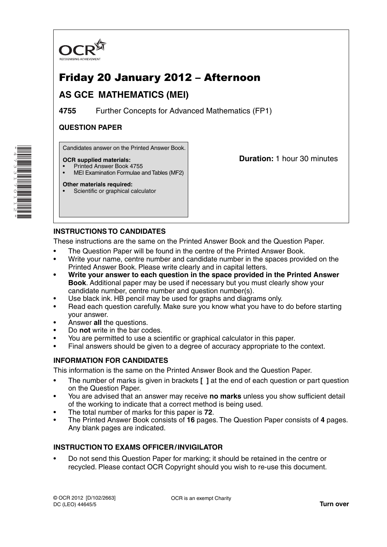

# Friday 20 January 2012 – Afternoon

## **AS GCE MATHEMATICS (MEI)**

**4755** Further Concepts for Advanced Mathematics (FP1)

## **QUESTION PAPER**

Candidates answer on the Printed Answer Book.

### **OCR supplied materials:**

- Printed Answer Book 4755
- MEI Examination Formulae and Tables (MF2)

### **Other materials required:**

Scientific or graphical calculator

**Duration:** 1 hour 30 minutes

## **INSTRUCTIONS TO CANDIDATES**

These instructions are the same on the Printed Answer Book and the Question Paper.

- The Question Paper will be found in the centre of the Printed Answer Book.
- Write your name, centre number and candidate number in the spaces provided on the Printed Answer Book. Please write clearly and in capital letters.
- **Write your answer to each question in the space provided in the Printed Answer Book**. Additional paper may be used if necessary but you must clearly show your candidate number, centre number and question number(s).
- Use black ink. HB pencil may be used for graphs and diagrams only.
- Read each question carefully. Make sure you know what you have to do before starting your answer.
- Answer **all** the questions.
- Do **not** write in the bar codes.
- You are permitted to use a scientific or graphical calculator in this paper.
- Final answers should be given to a degree of accuracy appropriate to the context.

## **INFORMATION FOR CANDIDATES**

This information is the same on the Printed Answer Book and the Question Paper.

- The number of marks is given in brackets **[ ]** at the end of each question or part question on the Question Paper.
- You are advised that an answer may receive **no marks** unless you show sufficient detail of the working to indicate that a correct method is being used.
- The total number of marks for this paper is **72**.
- The Printed Answer Book consists of **16** pages. The Question Paper consists of **4** pages. Any blank pages are indicated.

## **INSTRUCTION TO EXAMS OFFICER / INVIGILATOR**

• Do not send this Question Paper for marking; it should be retained in the centre or recycled. Please contact OCR Copyright should you wish to re-use this document.

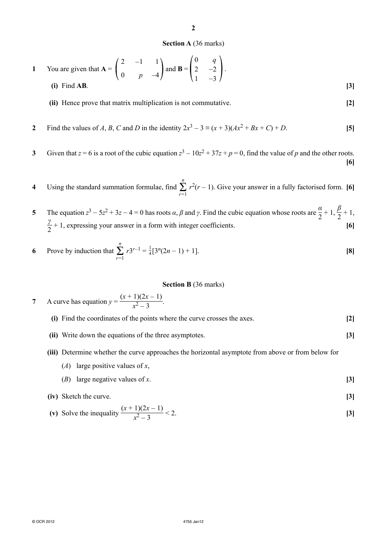#### **Section A** (36 marks)

**2**

1 You are given that 
$$
A = \begin{pmatrix} 2 & -1 & 1 \\ 0 & p & -4 \end{pmatrix}
$$
 and  $B = \begin{pmatrix} 0 & q \\ 2 & -2 \\ 1 & -3 \end{pmatrix}$ .  
\n(i) Find AB. [3]

 **(ii)** Hence prove that matrix multiplication is not commutative. **[2]**

- **2** Find the values of *A*, *B*, *C* and *D* in the identity  $2x^3 3 \equiv (x + 3)(Ax^2 + Bx + C) + D$ . [5]
- **3** Given that  $z = 6$  is a root of the cubic equation  $z^3 10z^2 + 37z + p = 0$ , find the value of *p* and the other roots. **[6]**
- **4** Using the standard summation formulae, find  $\sum_{r=1}^{n} r^2(r-1)$ . Give your answer in a fully factorised form. **[6]**
- **5** The equation  $z^3 5z^2 + 3z 4 = 0$  has roots  $\alpha, \beta$  and  $\gamma$ . Find the cubic equation whose roots are  $\frac{\alpha}{2} + 1$ ,  $\frac{\beta}{2} + 1$ , *γ*  $\frac{7}{2}$  + 1, expressing your answer in a form with integer coefficients. **[6]**

6 Prove by induction that 
$$
\sum_{r=1}^{n} r3^{r-1} = \frac{1}{4} [3^{n}(2n-1) + 1].
$$
 [8]

#### **Section B** (36 marks)

- **7** A curve has equation  $y = \frac{(x+1)(2x-1)}{x^2-3}$ .
	- **(i)** Find the coordinates of the points where the curve crosses the axes. **[2]**
	- **(ii)** Write down the equations of the three asymptotes. **[3]**
	- **(iii)** Determine whether the curve approaches the horizontal asymptote from above or from below for
		- (*A*) large positive values of *x*,
		- (*B*) large negative values of *x*. **[3]**

(iv) Sketch the curve. 
$$
(x+1)(2x-1)
$$

(v) Solve the inequality 
$$
\frac{(x+1)(2x-1)}{x^2-3} < 2
$$
. [3]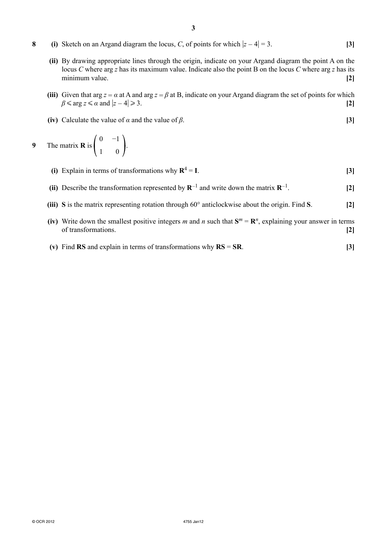- **8** (i) Sketch on an Argand diagram the locus, *C*, of points for which  $|z 4| = 3$ . [3]
	- **(ii)** By drawing appropriate lines through the origin, indicate on your Argand diagram the point A on the locus *C* where arg *z* has its maximum value. Indicate also the point B on the locus *C* where arg *z* has its minimum value. **[2]**
	- **(iii)** Given that arg  $z = \alpha$  at A and arg  $z = \beta$  at B, indicate on your Argand diagram the set of points for which  $\beta$  ≤ arg *z* ≤ *α* and  $|z - 4|$ 3. **[2]**
	- **(iv)** Calculate the value of  $\alpha$  and the value of  $\beta$ . [3]

**9** The matrix **R** is 0 1 −1  $\Big\}$ 

- **(i)** Explain in terms of transformations why  $\mathbf{R}^4 = \mathbf{I}$ . **[3]**
- **(ii)** Describe the transformation represented by **R**<sup>−</sup>1 and write down the matrix **R**<sup>−</sup>1. **[2]**
- **(iii) S** is the matrix representing rotation through 60° anticlockwise about the origin. Find **S**. **[2]**
- **(iv)** Write down the smallest positive integers *m* and *n* such that  $S^m = \mathbb{R}^n$ , explaining your answer in terms of transformations. **[2]**
- **(v)** Find **RS** and explain in terms of transformations why **RS** = **SR**. **[3]**